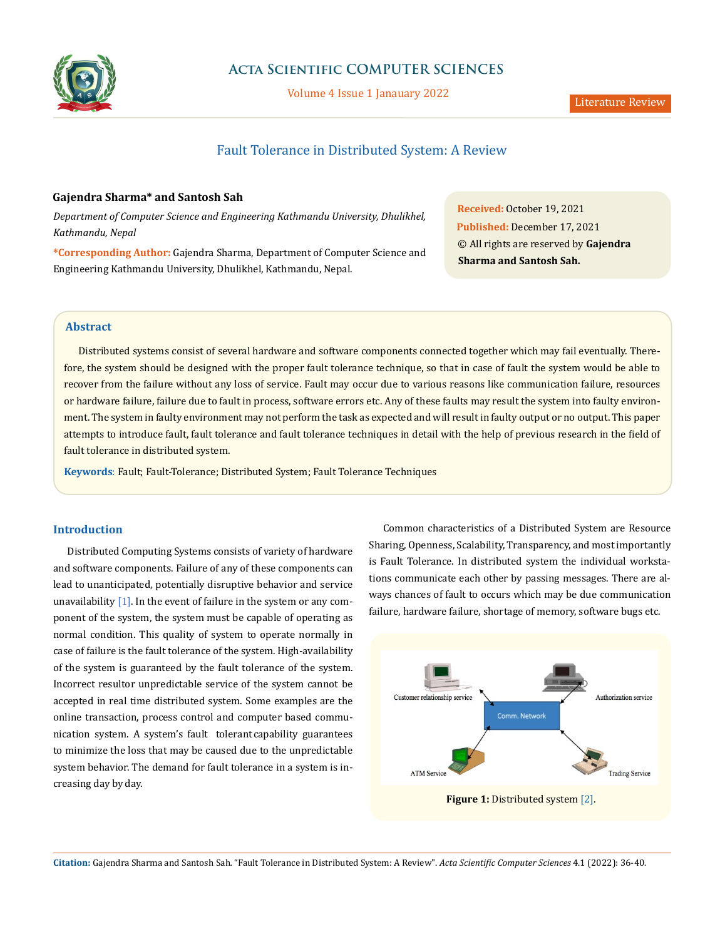

# **Acta Scientific COMPUTER SCIENCES**

Volume 4 Issue 1 Janauary 2022

# Fault Tolerance in Distributed System: A Review

## **Gajendra Sharma\* and Santosh Sah**

*Department of Computer Science and Engineering Kathmandu University, Dhulikhel, Kathmandu, Nepal*

**\*Corresponding Author:** Gajendra Sharma, Department of Computer Science and Engineering Kathmandu University, Dhulikhel, Kathmandu, Nepal.

**Received:** October 19, 2021 **Published:** December 17, 2021 © All rights are reserved by **Gajendra Sharma and Santosh Sah.**

## **Abstract**

Distributed systems consist of several hardware and software components connected together which may fail eventually. Therefore, the system should be designed with the proper fault tolerance technique, so that in case of fault the system would be able to recover from the failure without any loss of service. Fault may occur due to various reasons like communication failure, resources or hardware failure, failure due to fault in process, software errors etc. Any of these faults may result the system into faulty environment. The system in faulty environment may not perform the task as expected and will result in faulty output or no output. This paper attempts to introduce fault, fault tolerance and fault tolerance techniques in detail with the help of previous research in the field of fault tolerance in distributed system.

**Keywords**: Fault; Fault-Tolerance; Distributed System; Fault Tolerance Techniques

## **Introduction**

Distributed Computing Systems consists of variety of hardware and software components. Failure of any of these components can lead to unanticipated, potentially disruptive behavior and service unavailability  $[1]$ . In the event of failure in the system or any component of the system, the system must be capable of operating as normal condition. This quality of system to operate normally in case of failure is the fault tolerance of the system. High-availability of the system is guaranteed by the fault tolerance of the system. Incorrect resultor unpredictable service of the system cannot be accepted in real time distributed system. Some examples are the online transaction, process control and computer based communication system. A system's fault tolerant capability guarantees to minimize the loss that may be caused due to the unpredictable system behavior. The demand for fault tolerance in a system is increasing day by day.

Common characteristics of a Distributed System are Resource Sharing, Openness, Scalability, Transparency, and most importantly is Fault Tolerance. In distributed system the individual workstations communicate each other by passing messages. There are always chances of fault to occurs which may be due communication failure, hardware failure, shortage of memory, software bugs etc.

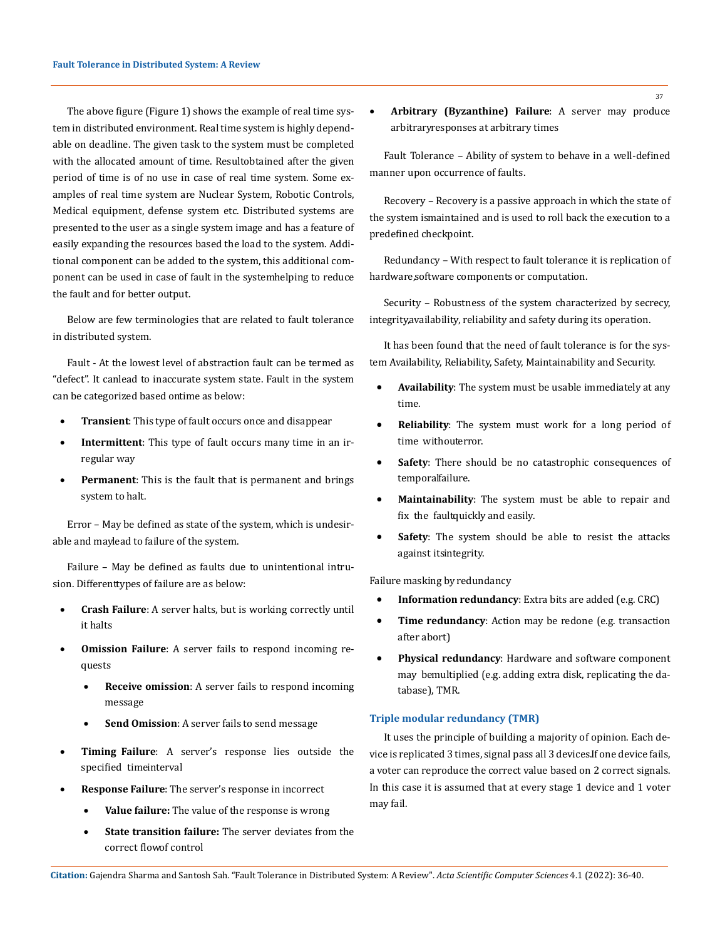The above figure (Figure 1) shows the example of real time system in distributed environment. Real time system is highly dependable on deadline. The given task to the system must be completed with the allocated amount of time. Resultobtained after the given period of time is of no use in case of real time system. Some examples of real time system are Nuclear System, Robotic Controls, Medical equipment, defense system etc. Distributed systems are presented to the user as a single system image and has a feature of easily expanding the resources based the load to the system. Additional component can be added to the system, this additional component can be used in case of fault in the system helping to reduce the fault and for better output.

Below are few terminologies that are related to fault tolerance in distributed system.

Fault - At the lowest level of abstraction fault can be termed as "defect". It canlead to inaccurate system state. Fault in the system can be categorized based on time as below:

- **Transient**: This type of fault occurs once and disappear
- **Intermittent**: This type of fault occurs many time in an irregular way
- Permanent: This is the fault that is permanent and brings system to halt.

Error – May be defined as state of the system, which is undesirable and maylead to failure of the system.

Failure – May be defined as faults due to unintentional intrusion. Differenttypes of failure are as below:

- **Crash Failure**: A server halts, but is working correctly until it halts
- **Omission Failure**: A server fails to respond incoming requests
	- **Receive omission**: A server fails to respond incoming message
	- Send Omission: A server fails to send message
- **Timing Failure:** A server's response lies outside the specified timeinterval
- **Response Failure**: The server's response in incorrect
	- **Value failure:** The value of the response is wrong
	- **State transition failure:** The server deviates from the correct flowof control

Arbitrary (Byzanthine) Failure: A server may produce arbitrary responses at arbitrary times

Fault Tolerance – Ability of system to behave in a well-defined manner upon occurrence of faults.

Recovery – Recovery is a passive approach in which the state of the system is maintained and is used to roll back the execution to a predefined checkpoint.

Redundancy – With respect to fault tolerance it is replication of hardware, software components or computation.

Security – Robustness of the system characterized by secrecy, integrity, availability, reliability and safety during its operation.

It has been found that the need of fault tolerance is for the system Availability, Reliability, Safety, Maintainability and Security.

- **Availability**: The system must be usable immediately at any time.
- **Reliability**: The system must work for a long period of time withouterror.
- • **Safety**: There should be no catastrophic consequences of temporal failure.
- • **Maintainability**: The system must be able to repair and fix the faultquickly and easily.
- **Safety**: The system should be able to resist the attacks against itsintegrity.

#### Failure masking by redundancy

- **Information redundancy**: Extra bits are added (e.g. CRC)
- **Time redundancy:** Action may be redone (e.g. transaction after abort)
- Physical redundancy: Hardware and software component may bemultiplied (e.g. adding extra disk, replicating the database), TMR.

#### **Triple modular redundancy (TMR)**

It uses the principle of building a majority of opinion. Each device is replicated 3 times, signal pass all 3 devices. If one device fails, a voter can reproduce the correct value based on 2 correct signals. In this case it is assumed that at every stage 1 device and 1 voter may fail.

**Citation:** Gajendra Sharma and Santosh Sah*.* "Fault Tolerance in Distributed System: A Review". *Acta Scientific Computer Sciences* 4.1 (2022): 36-40.

37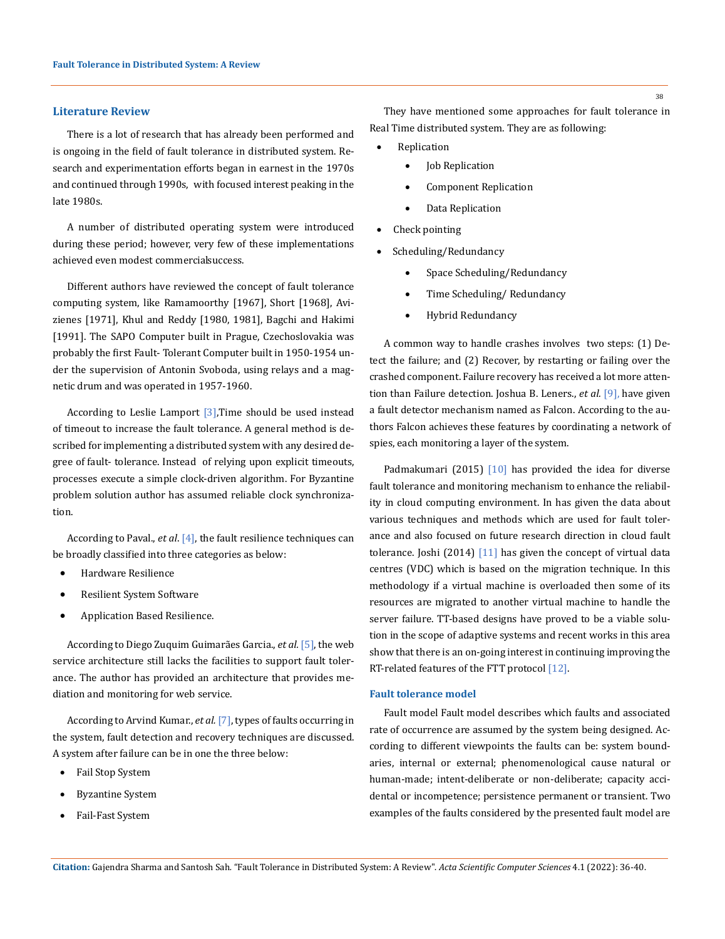### **Literature Review**

There is a lot of research that has already been performed and is ongoing in the field of fault tolerance in distributed system. Research and experimentation efforts began in earnest in the 1970s and continued through 1990s, with focused interest peaking in the late 1980s.

A number of distributed operating system were introduced during these period; however, very few of these implementations achieved even modest commercial success.

Different authors have reviewed the concept of fault tolerance computing system, like Ramamoorthy [1967], Short [1968], Avizienes [1971], Khul and Reddy [1980, 1981], Bagchi and Hakimi [1991]. The SAPO Computer built in Prague, Czechoslovakia was probably the first Fault- Tolerant Computer built in 1950-1954 under the supervision of Antonin Svoboda, using relays and a magnetic drum and was operated in 1957-1960.

According to Leslie Lamport [3],Time should be used instead of timeout to increase the fault tolerance. A general method is described for implementing a distributed system with any desired degree of fault- tolerance. Instead of relying upon explicit timeouts, processes execute a simple clock-driven algorithm. For Byzantine problem solution author has assumed reliable clock synchronization.

According to Paval., *et al*. [4], the fault resilience techniques can be broadly classified into three categories as below:

- **Hardware Resilience**
- **Resilient System Software**
- Application Based Resilience.

According to Diego Zuquim Guimarães Garcia., *et al.* [5], the web service architecture still lacks the facilities to support fault tolerance. The author has provided an architecture that provides mediation and monitoring for web service.

According to Arvind Kumar., *et al.* [7], types of faults occurring in the system, fault detection and recovery techniques are discussed. A system after failure can be in one the three below:

- Fail Stop System
- **Byzantine System**
- Fail-Fast System

38

They have mentioned some approaches for fault tolerance in Real Time distributed system. They are as following:

- **Replication** 
	- Job Replication
	- **Component Replication**
	- Data Replication
- Check pointing
- Scheduling/Redundancy
	- • Space Scheduling/Redundancy
	- Time Scheduling/Redundancy
	- **Hybrid Redundancy**

A common way to handle crashes involves two steps: (1) Detect the failure; and (2) Recover, by restarting or failing over the crashed component. Failure recovery has received a lot more attention than Failure detection. Joshua B. Leners., *et al.* [9], have given a fault detector mechanism named as Falcon. According to the authors Falcon achieves these features by coordinating a network of spies, each monitoring a layer of the system.

Padmakumari (2015)  $[10]$  has provided the idea for diverse fault tolerance and monitoring mechanism to enhance the reliability in cloud computing environment. In has given the data about various techniques and methods which are used for fault tolerance and also focused on future research direction in cloud fault tolerance. Joshi (2014) [11] has given the concept of virtual data centres (VDC) which is based on the migration technique. In this methodology if a virtual machine is overloaded then some of its resources are migrated to another virtual machine to handle the server failure. TT-based designs have proved to be a viable solution in the scope of adaptive systems and recent works in this area show that there is an on-going interest in continuing improving the RT-related features of the FTT protocol [12].

#### **Fault tolerance model**

Fault model Fault model describes which faults and associated rate of occurrence are assumed by the system being designed. According to different viewpoints the faults can be: system boundaries, internal or external; phenomenological cause natural or human-made; intent-deliberate or non-deliberate; capacity accidental or incompetence; persistence permanent or transient. Two examples of the faults considered by the presented fault model are

**Citation:** Gajendra Sharma and Santosh Sah*.* "Fault Tolerance in Distributed System: A Review". *Acta Scientific Computer Sciences* 4.1 (2022): 36-40.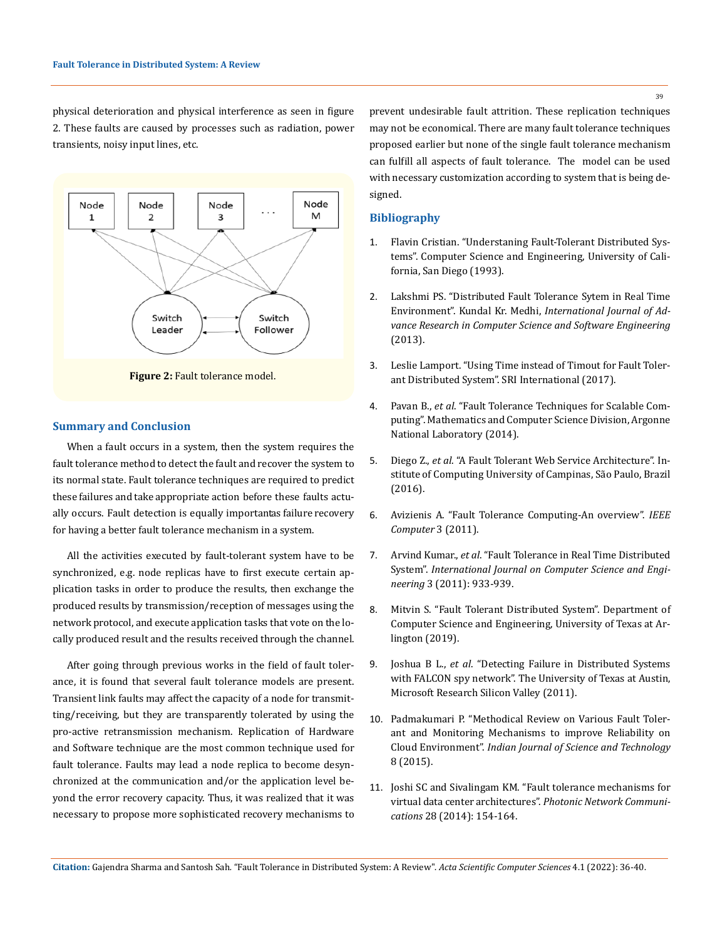39

physical deterioration and physical interference as seen in figure 2. These faults are caused by processes such as radiation, power transients, noisy input lines, etc.





#### **Summary and Conclusion**

When a fault occurs in a system, then the system requires the fault tolerance method to detect the fault and recover the system to its normal state. Fault tolerance techniques are required to predict these failures and take appropriate action before these faults actually occurs. Fault detection is equally importantas failure recovery for having a better fault tolerance mechanism in a system.

All the activities executed by fault-tolerant system have to be synchronized, e.g. node replicas have to first execute certain application tasks in order to produce the results, then exchange the produced results by transmission/reception of messages using the network protocol, and execute application tasks that vote on the locally produced result and the results received through the channel.

After going through previous works in the field of fault tolerance, it is found that several fault tolerance models are present. Transient link faults may affect the capacity of a node for transmitting/receiving, but they are transparently tolerated by using the pro-active retransmission mechanism. Replication of Hardware and Software technique are the most common technique used for fault tolerance. Faults may lead a node replica to become desynchronized at the communication and/or the application level beyond the error recovery capacity. Thus, it was realized that it was necessary to propose more sophisticated recovery mechanisms to

prevent undesirable fault attrition. These replication techniques may not be economical. There are many fault tolerance techniques proposed earlier but none of the single fault tolerance mechanism can fulfill all aspects of fault tolerance. The model can be used with necessary customization according to system that is being designed.

### **Bibliography**

- 1. [Flavin Cristian. "Understaning Fault-Tolerant Distributed Sys](https://citeseerx.ist.psu.edu/viewdoc/download?doi=10.1.1.30.591&rep=rep1&type=pdf)[tems". Computer Science and Engineering, University of Cali](https://citeseerx.ist.psu.edu/viewdoc/download?doi=10.1.1.30.591&rep=rep1&type=pdf)[fornia, San Diego \(1993\).](https://citeseerx.ist.psu.edu/viewdoc/download?doi=10.1.1.30.591&rep=rep1&type=pdf)
- 2. Lakshmi PS. "Distributed Fault Tolerance Sytem in Real Time Environment". Kundal Kr. Medhi, *International Journal of Advance Research in Computer Science and Software Engineering* (2013).
- 3. [Leslie Lamport. "Using Time instead of Timout for Fault Toler](https://lamport.azurewebsites.net/pubs/using-time.pdf)[ant Distributed System". SRI International \(2017\).](https://lamport.azurewebsites.net/pubs/using-time.pdf)
- 4. Pavan B., *et al*[. "Fault Tolerance Techniques for Scalable Com](https://www.mcs.anl.gov/papers/2037-0212.pdf)[puting". Mathematics and Computer Science Division, Argonne](https://www.mcs.anl.gov/papers/2037-0212.pdf)  [National Laboratory \(2014\).](https://www.mcs.anl.gov/papers/2037-0212.pdf)
- 5. Diego Z., *et al*[. "A Fault Tolerant Web Service Architecture". In](https://citeseerx.ist.psu.edu/viewdoc/download?doi=10.1.1.91.5202&rep=rep1&type=pdf)[stitute of Computing University of Campinas, São Paulo, Brazil](https://citeseerx.ist.psu.edu/viewdoc/download?doi=10.1.1.91.5202&rep=rep1&type=pdf)  [\(2016\).](https://citeseerx.ist.psu.edu/viewdoc/download?doi=10.1.1.91.5202&rep=rep1&type=pdf)
- 6. Avizienis A. "Fault Tolerance Computing-An overview". *IEEE Computer* 3 (2011).
- 7. Arvind Kumar., *et al*[. "Fault Tolerance in Real Time Distributed](https://www.researchgate.net/publication/50247535_Fault_Tolerance_in_Real_Time_Distributed_System)  System". *[International Journal on Computer Science and Engi](https://www.researchgate.net/publication/50247535_Fault_Tolerance_in_Real_Time_Distributed_System)neering* [3 \(2011\): 933-939.](https://www.researchgate.net/publication/50247535_Fault_Tolerance_in_Real_Time_Distributed_System)
- 8. [Mitvin S. "Fault Tolerant Distributed System". Department of](https://crystal.uta.edu/~kumar/cse6306/papers/FaultTolerantDistComp.pdf)  [Computer Science and Engineering, University of Texas at Ar](https://crystal.uta.edu/~kumar/cse6306/papers/FaultTolerantDistComp.pdf)[lington \(2019\).](https://crystal.uta.edu/~kumar/cse6306/papers/FaultTolerantDistComp.pdf)
- 9. Joshua B L., *et al*[. "Detecting Failure in Distributed Systems](https://dl.acm.org/doi/10.1145/2043556.2043583)  [with FALCON spy network". The University of Texas at Austin,](https://dl.acm.org/doi/10.1145/2043556.2043583)  [Microsoft Research Silicon Valley \(2011\).](https://dl.acm.org/doi/10.1145/2043556.2043583)
- 10. [Padmakumari P. "Methodical Review on Various Fault Toler](https://doi.org/10.17485/ijst/2015/v8i35/80130)[ant and Monitoring Mechanisms to improve Reliability on](https://doi.org/10.17485/ijst/2015/v8i35/80130)  Cloud Environment". *[Indian Journal of Science and Technology](https://doi.org/10.17485/ijst/2015/v8i35/80130)* [8 \(2015\).](https://doi.org/10.17485/ijst/2015/v8i35/80130)
- 11. [Joshi SC and Sivalingam KM. "Fault tolerance mechanisms for](https://doi.org/10.1007/s11107-%20014-0463-1)  [virtual data center architectures".](https://doi.org/10.1007/s11107-%20014-0463-1) *Photonic Network Communications* [28 \(2014\): 154-164.](https://doi.org/10.1007/s11107-%20014-0463-1)